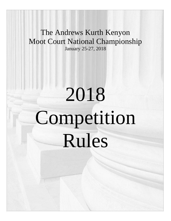# The Andrews Kurth Kenyon Moot Court National Championship January 25-27, 2018

# 2018 Competition Rules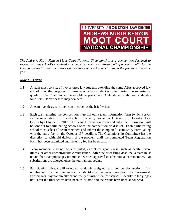

*The Andrews Kurth Kenyon Moot Court National Championship is a competition designed to recognize a law school's sustained excellence in moot court. Participating schools qualify for the Championship through their performance in moot court competitions in the previous academic year.*

# *Rule 1 – Teams*

- 1.1 A team must consist of two or three law students attending the same ABA-approved law school. For the purposes of these rules, a law student enrolled during the semester or quarter of the Championship is eligible to participate. Only students who are candidates for a Juris Doctor degree may compete.
- 1.2 A team may designate one team member as the brief writer.
- 1.3 Each team entering the competition must fill out a team information form (which serves as the registration form) and submit the entry fee to the University of Houston Law Center by October 13, 2017. The Team Information Form and entry fee information will be sent out to participating schools once the competition field is set. Each participating school must select all team members and submit the completed Team Entry Form, along with the entry fee, by the October  $13<sup>th</sup>$  deadline. The Championship Committee has the discretion to withhold delivery of the problem until the completed Team Registration Form has been submitted and the entry fee has been paid.
- 1.4 Team members may not be substituted, except for good cause, such as death, severe illness, or other uncontrollable circumstance. After the brief-filing deadline, a team must obtain the Championship Committee's written approval to substitute a team member. No substitutions are allowed once the tournament begins.
- 1.5 Participating schools will receive a randomly assigned team number designation. This number will be the sole method of identifying the team throughout the tournament. Participants may not directly or indirectly divulge their law schools' identity to the judges until after the final scores have been calculated and the results have been announced.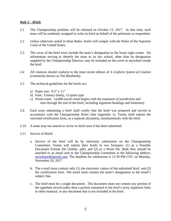## *Rule 2 – Briefs*

- 2.1 The Championship problem will be released on October 13, 2017. At that time, each team will be randomly assigned to write its brief on behalf of the petitioner or respondent.
- 2.2 Unless otherwise stated in these Rules, briefs will comply with the Rules of the Supreme Court of the United States.
- 2.3 The cover of the brief must include the team's designation in the lower right corner. No information serving to identify the team or its law school, other than its designation supplied by the Championship Director, may be included on the cover or anywhere inside the brief.
- 2.4 All citations should conform to the most recent edition of *A Uniform System of Citation* (commonly known as The Bluebook).
- 2.5 The technical guidelines for the briefs are:
	- a) Paper size:  $8.5$ " x  $11$ "
	- b) Font: Century family, 12-point type
	- c) Word count: 14,000 (word count begins with the statement of jurisdiction and runs through the end of the brief, including argument headings and footnotes)
- 2.6 Each team submitting a brief shall certify that the brief was prepared and served in accordance with the Championship Rules (See Appendix 1). Teams shall submit the executed certification form, as a separate document, simultaneously with the brief.
- 2.10 A team may not amend or revise its brief once it has been submitted.
- 2.11 Service of Briefs
	- a. Service of the brief will be by electronic submission on the Championship Committee. Teams will submit their briefs in two formants: (1) as a Portable Document Format file (Adobe .pdf), and (2) as a Word file. Both files should be attached to an email sent to the Championship Committee at the following address: [mcncboard@gmail.com.](mailto:mcnc@uh.edu) The deadline for submission is 11:59 PM CST, on Monday, November 20, 2017.
	- b. The e-mail must contain only (1) the electronic copies of the submitted brief, and (2) the certification form. The email must contain the team's designation in the email's subject line.
	- c. The brief must be a single document. The document must not contain any portion of the appellate record (other than a portion contained in the brief's text), hypertext links to other material, or any document that is not included in the brief.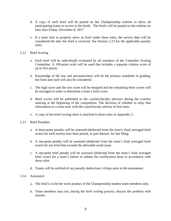- d. A copy of each brief will be posted on the Championship website to allow all participating teams to access to the briefs. The briefs will be posted on the website no later than Friday, December 8, 2017.
- e. If a team fails to properly serve its brief under these rules, the service date will be considered the date the brief is received. See Section 2.13 for the applicable penalty rules.
- 2.12 Brief Scoring
	- a. Each brief will be individually evaluated by all members of the 5-member Scoring Committee. A 100-point scale will be used that includes a separate citation score of up to five points.
	- b. Knowledge of the law and persuasiveness will be the primary standards in grading, but form and style will also be considered.
	- c. The high score and the low score will be dropped and the remaining three scores will be averaged in order to determine a team's brief score.
	- d. Brief scores will be published to the coaches/faculty advisors during the coaches meeting at the beginning of the competition. The decision of whether to relay that information to a team rests with the coach/faculty advisor of that team.
	- e. A copy of the brief scoring sheet is attached to these rules as Appendix 2.
- 2.13 Brief Penalties
	- a. A three-point penalty will be assessed (deducted from the team's final averaged brief score) for each twenty-four hour period, or part thereof, for late filing.
	- b. A one-point penalty will be assessed (deducted from the team's final averaged brief score) for any brief that exceeds the allowable word count.
	- c. A one-point brief penalty will be assessed (deducted from the team's final averaged brief score) for a team's failure to submit the certification form in accordance with these rules.
	- d. Teams will be notified of any penalty deductions 14 days prior to the tournament.

## 2.14 Assistance

- a. The brief is to be the work product of the Championship student team members only.
- b. Team members may not, during the brief writing process, discuss the problem with anyone.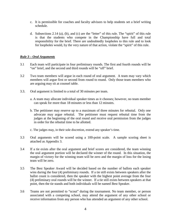- c. It is permissible for coaches and faculty advisors to help students set a brief writing schedule.
- d. Subsections 2.14 (a), (b), and (c) are the "letter" of this rule. The "spirit" of this rule is that the students who compete in the Championship have full and total responsibility for the brief. There are undoubtedly loopholes to this rule and to look for loopholes would, by the very nature of that action, violate the "spirit" of this rule.

# *Rule 3 – Oral Arguments*

- 3.1 Each team will participate in four preliminary rounds. The first and fourth rounds will be "on" brief, and the second and third rounds will be "off" brief.
- 3.2 Two team members will argue in each round of oral argument. A team may vary which members will argue first or second from round to round. Only those team members who are arguing may sit at counsel table.
- 3.3. Oral argument is limited to a total of 30 minutes per team.
	- a. A team may allocate individual speaker times as it chooses; however, no team member can speak for more than 18 minutes or less than 12 minutes.
	- b. The petitioner may reserve up to a maximum of three minutes for rebuttal. Only one advocate may argue rebuttal. The petitioner must request rebuttal time from the judges at the beginning of the oral round and receive oral permission from the judges in order for the rebuttal time to be allotted.
	- c. The judges may, in their sole discretion, extend any speaker's time.
- 3.3 Oral arguments will be scored using a 100-point scale. A sample scoring sheet is attached as Appendix 3.
- 3.4 If a tie exists after the oral argument and brief scores are considered, the team winning the oral argument portion will be declared the winner of the round. In this situation, the margin of victory for the winning team will be zero and the margin of loss for the losing team will be zero.
- 3.5 The Best Speaker Award will be decided based on the number of ballots each speaker wins during the four (4) preliminary rounds. If a tie still exists between speakers after the ballot count is considered, then the speaker with the highest point average from the four (4) preliminary oral rounds will be the winner. If a tie still exists between speakers at that point, then the tie stands and both individuals will be named Best Speaker.
- 3.6 Teams are not permitted to "scout" during the tournament. No team member, or person associated with a competing school, may attend the argument of any other school or receive information from any person who has attended an argument of any other school.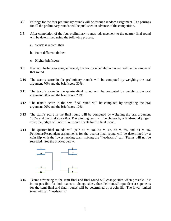- 3.7 Pairings for the four preliminary rounds will be through random assignment. The pairings for all the preliminary rounds will be published in advance of the competition.
- 3.8 After completion of the four preliminary rounds, advancement to the quarter-final round will be determined using the following process:
	- a. Win/loss record; then
	- b. Point differential; then
	- c. Higher brief score.
- 3.9 If a team forfeits an assigned round, the team's scheduled opponent will be the winner of that round.
- 3.10 The team's score in the preliminary rounds will be computed by weighing the oral argument 70% and the brief score 30%.
- 3.11 The team's score in the quarter-final round will be computed by weighing the oral argument 80% and the brief score 20%.
- 3.12 The team's score in the semi-final round will be computed by weighting the oral argument 90% and the brief score 10%.
- 3.13 The team's score in the final round will be computed by weighing the oral argument 100% and the brief score 0%. The winning team will be chosen by a final-round judges' vote; the judges will not fill out score sheets for the final round.
- 3.14 The quarter-final rounds will pair #1 v. #8, #2 v. #7, #3 v. #6, and #4 v. #5. Petitioner/Respondent assignments for the quarter-final round will be determined by a coin flip with the lower ranking team making the "heads/tails" call. Teams will not be reseeded. See the bracket below:



3.15 Teams advancing to the semi-final and final round will change sides when possible. If it is not possible for both teams to change sides, then Petitioner/Respondent assignments for the semi-final and final rounds will be determined by a coin flip. The lower ranked team will call "heads/tails."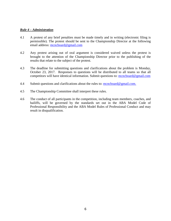### *Rule 4 – Administration*

- 4.1 A protest of any brief penalties must be made timely and in writing (electronic filing is permissible). The protest should be sent to the Championship Director at the following email address: [mcncboard@gmail.com](mailto:mcnc@uh.edu)
- 4.2 Any protest arising out of oral argument is considered waived unless the protest is brought to the attention of the Championship Director prior to the publishing of the results that relate to the subject of the protest.
- 4.3 The deadline for submitting questions and clarifications about the problem is Monday, October 23, 2017. Responses to questions will be distributed to all teams so that all competitors will have identical information. Submit questions to: [mcncboard@gmail.com](mailto:mcnc@uh.edu)
- 4.4 Submit questions and clarifications about the rules to: [mcncboard@gmail.com.](mailto:mcnc@uh.edu)
- 4.5 The Championship Committee shall interpret these rules.
- 4.6 The conduct of all participants in the competition, including team members, coaches, and bailiffs, will be governed by the standards set out in the ABA Model Code of Professional Responsibility and the ABA Model Rules of Professional Conduct and may result in disqualification.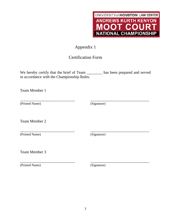

# Appendix 1

# Certification Form

We hereby certify that the brief of Team \_\_\_\_\_\_\_\_\_ has been prepared and served in accordance with the Championship Rules.

Team Member 1

(Printed Name) (Signature)

\_\_\_\_\_\_\_\_\_\_\_\_\_\_\_\_\_\_\_\_\_\_\_\_\_\_\_\_ \_\_\_\_\_\_\_\_\_\_\_\_\_\_\_\_\_\_\_\_\_\_\_\_\_\_\_\_\_\_

Team Member 2

(Printed Name) (Signature)

\_\_\_\_\_\_\_\_\_\_\_\_\_\_\_\_\_\_\_\_\_\_\_\_\_\_\_\_ \_\_\_\_\_\_\_\_\_\_\_\_\_\_\_\_\_\_\_\_\_\_\_\_\_\_\_\_\_\_

Team Member 3

\_\_\_\_\_\_\_\_\_\_\_\_\_\_\_\_\_\_\_\_\_\_\_\_\_\_\_\_ \_\_\_\_\_\_\_\_\_\_\_\_\_\_\_\_\_\_\_\_\_\_\_\_\_\_\_\_\_\_ (Printed Name) (Signature)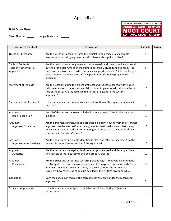# Appendix 2

### **Brief Score Sheet**

Team Number: \_\_\_\_\_\_ Judge ID Number: \_\_\_\_\_\_

| <b>Section of the Brief</b>                               | <b>Description</b>                                                                                                                                                                                                                                                                                                                                            | <b>Possible</b> | Given |
|-----------------------------------------------------------|---------------------------------------------------------------------------------------------------------------------------------------------------------------------------------------------------------------------------------------------------------------------------------------------------------------------------------------------------------------|-----------------|-------|
| <b>Questions Presented</b>                                | Are the questions posed to frame the issue(s) to be decided in a favorable<br>manner without being argumentative? Is there a clear point of view?                                                                                                                                                                                                             | 5               |       |
| Table of Contents,<br>Table of Authorities, &<br>Appendix | Are the parts in proper sequence, accurate, user-friendly, and provide an overall<br>outline of the case? Are all of the authorities sensibly divided and arranged? Has<br>the correct decision been made to include an appendix or not? (Points may be given<br>or not given for either decision.) If an appendix is used, are the proper items<br>included? | 5               |       |
| <b>Statement of the Case</b>                              | Are the facts, including the procedural facts and results, reasonably developed<br>(with references to the record) and fairly stated to persuasively tell that client's<br>side of the case? Are the facts limited to those relevant to the writer's<br>argument?                                                                                             | 10              |       |
| Summary of the Argument                                   | Is the summary an accurate and clear condensation of the argument(s) made in<br>the brief?                                                                                                                                                                                                                                                                    | 5               |       |
| Argument:<br><b>Issue Recognition</b>                     | Are all of the necessary issues included in the arguments? Are irrelevant issues<br>included?                                                                                                                                                                                                                                                                 | 10              |       |
| Argument:<br>Argument Structure                           | Are the arguments structured and organized logically, flowing from the strongest<br>arguments to the weakest? Are the arguments developed in a way that is easy to<br>follow? Is it clear what the writer is asking for? Does each paragraph lead to a<br>conclusion in the writer's favor?                                                                   | 10              |       |
| Argument:<br><b>Argumentative Headings</b>                | Are the points and sub-points identified in clear and effective headings? Do the<br>headers form a cohesive outline of the argument?                                                                                                                                                                                                                          | 10              |       |
| Argument:<br>Authority                                    | Are the best available legal authorities appropriately used and developed? Are<br>unfavorable authorities recognized and properly treated?                                                                                                                                                                                                                    | 10              |       |
| Argument:<br>Persuasion                                   | Are the issues and authorities set forth persuasively? Are favorable arguments<br>positively stressed and unfavorable arguments recognized and answered? Do the<br>arguments maintain an overall theory of the case? Does the writer state<br>succinctly how each issue should be decided in the writer's favor and why?                                      | 15              |       |
| Conclusion                                                | Does the conclusion request the correct relief available under the record and<br>arguments?                                                                                                                                                                                                                                                                   | 5               |       |
| <b>Style and Appearance</b>                               | Is the brief clear, unambiguous, readable, carefully edited, polished, and<br>professional?                                                                                                                                                                                                                                                                   | 10              |       |
|                                                           | <b>Total Points</b>                                                                                                                                                                                                                                                                                                                                           |                 |       |